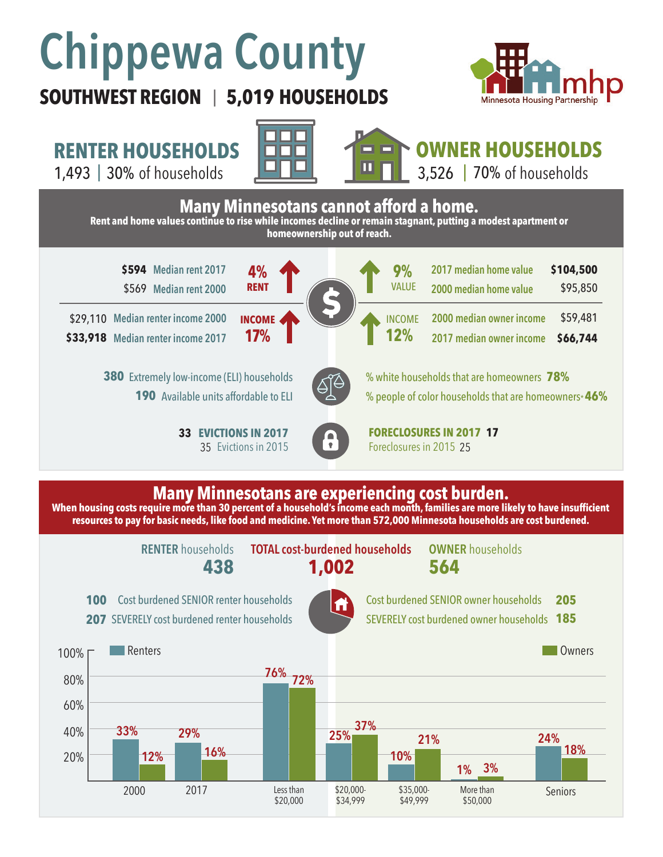# **Chippewa County**

## **SOUTHWEST REGION 5,019 HOUSEHOLDS**  |



**RENTER HOUSEHOLDS**

1,493 | of households 30% 70%







 $3,526$  |  $70\%$  of households



#### **Many Minnesotans are experiencing cost burden.**

When housing costs require more than 30 percent of a household's income each month, families are more likely to have insufficient **resources to pay for basic needs, like food and medicine. Yet more than 572,000 Minnesota households are cost burdened.**